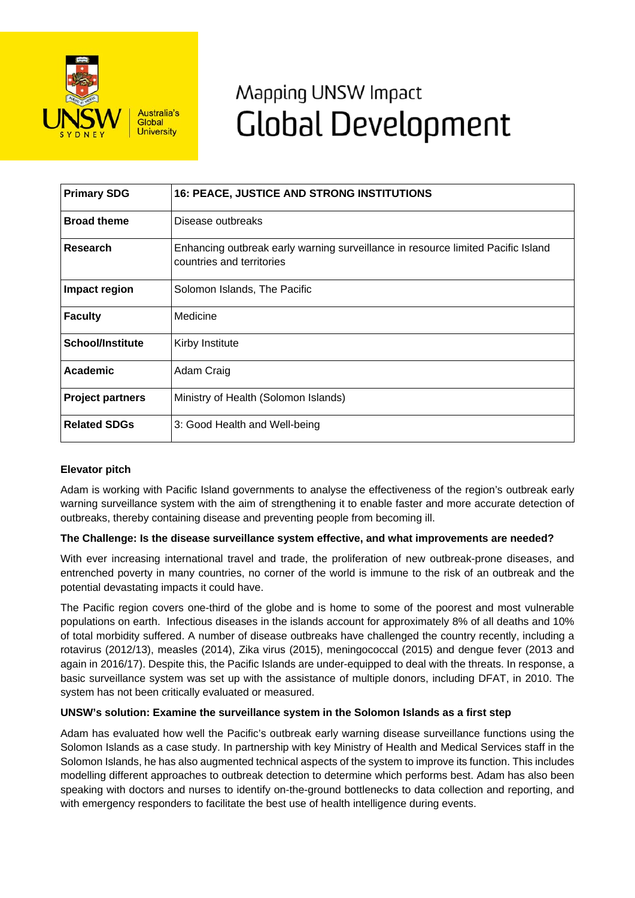

# Mapping UNSW Impact **Global Development**

| <b>Primary SDG</b>      | <b>16: PEACE, JUSTICE AND STRONG INSTITUTIONS</b>                                                             |
|-------------------------|---------------------------------------------------------------------------------------------------------------|
| <b>Broad theme</b>      | Disease outbreaks                                                                                             |
| Research                | Enhancing outbreak early warning surveillance in resource limited Pacific Island<br>countries and territories |
| Impact region           | Solomon Islands, The Pacific                                                                                  |
| <b>Faculty</b>          | Medicine                                                                                                      |
| <b>School/Institute</b> | Kirby Institute                                                                                               |
| Academic                | Adam Craig                                                                                                    |
| <b>Project partners</b> | Ministry of Health (Solomon Islands)                                                                          |
| <b>Related SDGs</b>     | 3: Good Health and Well-being                                                                                 |

# **Elevator pitch**

Adam is working with Pacific Island governments to analyse the effectiveness of the region's outbreak early warning surveillance system with the aim of strengthening it to enable faster and more accurate detection of outbreaks, thereby containing disease and preventing people from becoming ill.

## **The Challenge: Is the disease surveillance system effective, and what improvements are needed?**

With ever increasing international travel and trade, the proliferation of new outbreak-prone diseases, and entrenched poverty in many countries, no corner of the world is immune to the risk of an outbreak and the potential devastating impacts it could have.

The Pacific region covers one-third of the globe and is home to some of the poorest and most vulnerable populations on earth. Infectious diseases in the islands account for approximately 8% of all deaths and 10% of total morbidity suffered. A number of disease outbreaks have challenged the country recently, including a rotavirus (2012/13), measles (2014), Zika virus (2015), meningococcal (2015) and dengue fever (2013 and again in 2016/17). Despite this, the Pacific Islands are under-equipped to deal with the threats. In response, a basic surveillance system was set up with the assistance of multiple donors, including DFAT, in 2010. The system has not been critically evaluated or measured.

## **UNSW's solution: Examine the surveillance system in the Solomon Islands as a first step**

Adam has evaluated how well the Pacific's outbreak early warning disease surveillance functions using the Solomon Islands as a case study. In partnership with key Ministry of Health and Medical Services staff in the Solomon Islands, he has also augmented technical aspects of the system to improve its function. This includes modelling different approaches to outbreak detection to determine which performs best. Adam has also been speaking with doctors and nurses to identify on-the-ground bottlenecks to data collection and reporting, and with emergency responders to facilitate the best use of health intelligence during events.